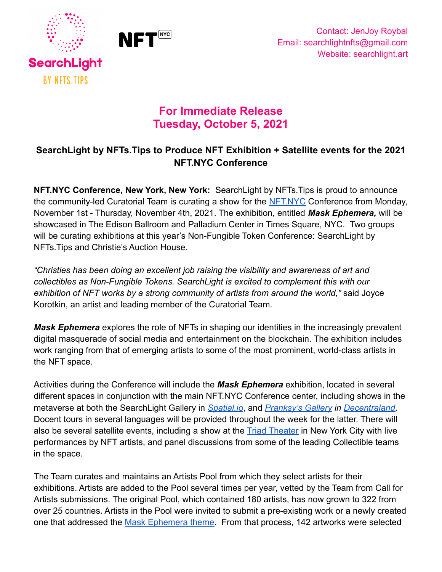



# **For Immediate Release Tuesday, October 5, 2021**

## **SearchLight by NFTs.Tips to Produce NFT Exhibition + Satellite events for the 2021 NFT.NYC Conference**

**NFT.NYC Conference, New York, New York:** SearchLight by NFTs.Tips is proud to announce the community-led Curatorial Team is curating a show for the [NFT.NYC](https://www.nft.nyc/) Conference from Monday, November 1st - Thursday, November 4th, 2021. The exhibition, entitled *Mask Ephemera,* will be showcased in The Edison Ballroom and Palladium Center in Times Square, NYC. Two groups will be curating exhibitions at this year's Non-Fungible Token Conference: SearchLight by NFTs.Tips and Christie's Auction House.

*"Christies has been doing an excellent job raising the visibility and awareness of art and collectibles as Non-Fungible Tokens. SearchLight is excited to complement this with our exhibition of NFT works by a strong community of artists from around the world,"* said Joyce Korotkin, an artist and leading member of the Curatorial Team.

*Mask Ephemera* explores the role of NFTs in shaping our identities in the increasingly prevalent digital masquerade of social media and entertainment on the blockchain. The exhibition includes work ranging from that of emerging artists to some of the most prominent, world-class artists in the NFT space.

Activities during the Conference will include the *Mask Ephemera* exhibition, located in several different spaces in conjunction with the main NFT.NYC Conference center, including shows in the metaverse at both the SearchLight Gallery in *[Spatial.io](https://spatial.io/)*, and *[Pranksy's Gallery](https://www.nftboxes.io/) in [Decentraland](https://decentraland.org/)*. Docent tours in several languages will be provided throughout the week for the latter. There will also be several satellite events, including a show at the **[Triad Theater](https://www.triadnyc.com/) in New York City with live** performances by NFT artists, and panel discussions from some of the leading Collectible teams in the space.

The Team curates and maintains an Artists Pool from which they select artists for their exhibitions. Artists are added to the Pool several times per year, vetted by the Team from Call for Artists submissions. The original Pool, which contained 180 artists, has now grown to 322 from over 25 countries. Artists in the Pool were invited to submit a pre-existing work or a newly created one that addressed the [Mask Ephemera theme.](https://docs.google.com/document/d/1-V1knBmhDprSC0ByJIbpREPA0H-8H_Q8sqG19pgqQOM/edit?usp=sharing) From that process, 142 artworks were selected